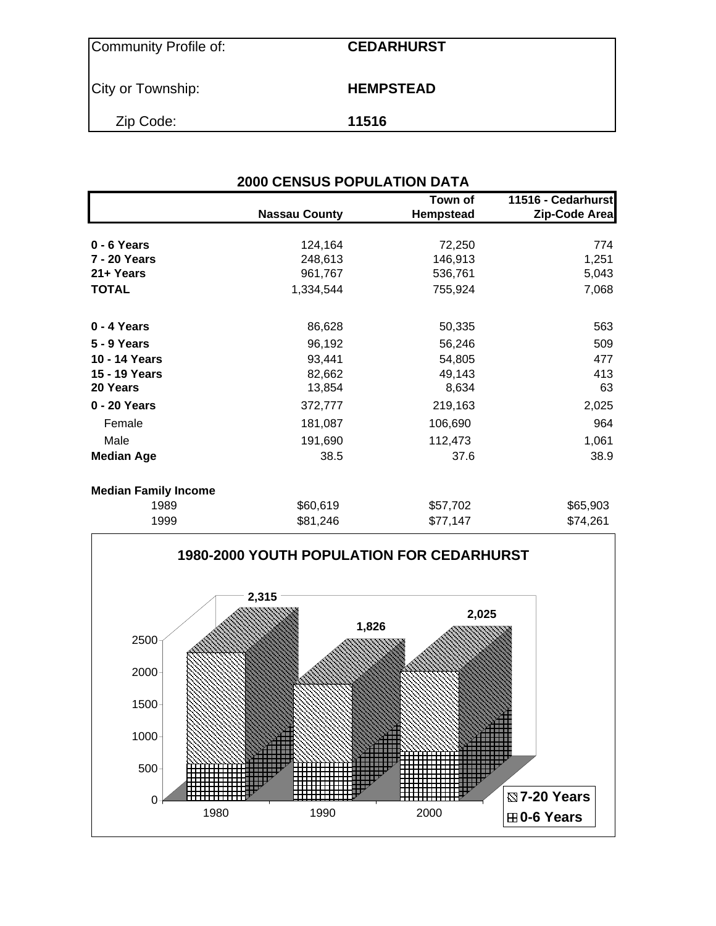| Community Profile of: | <b>CEDARHURST</b> |
|-----------------------|-------------------|
| City or Township:     | <b>HEMPSTEAD</b>  |
| Zip Code:             | 11516             |

| <b>2000 CENSUS POPULATION DATA</b> |                      |                      |                                     |  |  |  |  |  |
|------------------------------------|----------------------|----------------------|-------------------------------------|--|--|--|--|--|
|                                    | <b>Nassau County</b> | Town of<br>Hempstead | 11516 - Cedarhurst<br>Zip-Code Area |  |  |  |  |  |
| 0 - 6 Years                        | 124,164              | 72,250               | 774                                 |  |  |  |  |  |
| 7 - 20 Years                       | 248,613              | 146,913              | 1,251                               |  |  |  |  |  |
| 21+ Years                          | 961,767              | 536,761              | 5,043                               |  |  |  |  |  |
| <b>TOTAL</b>                       | 1,334,544            | 755,924              | 7,068                               |  |  |  |  |  |
| 0 - 4 Years                        | 86,628               | 50,335               | 563                                 |  |  |  |  |  |
| <b>5 - 9 Years</b>                 | 96,192               | 56,246               | 509                                 |  |  |  |  |  |
| 10 - 14 Years                      | 93,441               | 54,805               | 477                                 |  |  |  |  |  |
| 15 - 19 Years                      | 82,662               | 49,143               | 413                                 |  |  |  |  |  |
| 20 Years                           | 13,854               | 8,634                | 63                                  |  |  |  |  |  |
| 0 - 20 Years                       | 372,777              | 219,163              | 2,025                               |  |  |  |  |  |
| Female                             | 181,087              | 106,690              | 964                                 |  |  |  |  |  |
| Male                               | 191,690              | 112,473              | 1,061                               |  |  |  |  |  |
| <b>Median Age</b>                  | 38.5                 | 37.6                 | 38.9                                |  |  |  |  |  |
| <b>Median Family Income</b>        |                      |                      |                                     |  |  |  |  |  |
| 1989                               | \$60,619             | \$57,702             | \$65,903                            |  |  |  |  |  |
| 1999                               | \$81,246             | \$77,147             | \$74,261                            |  |  |  |  |  |

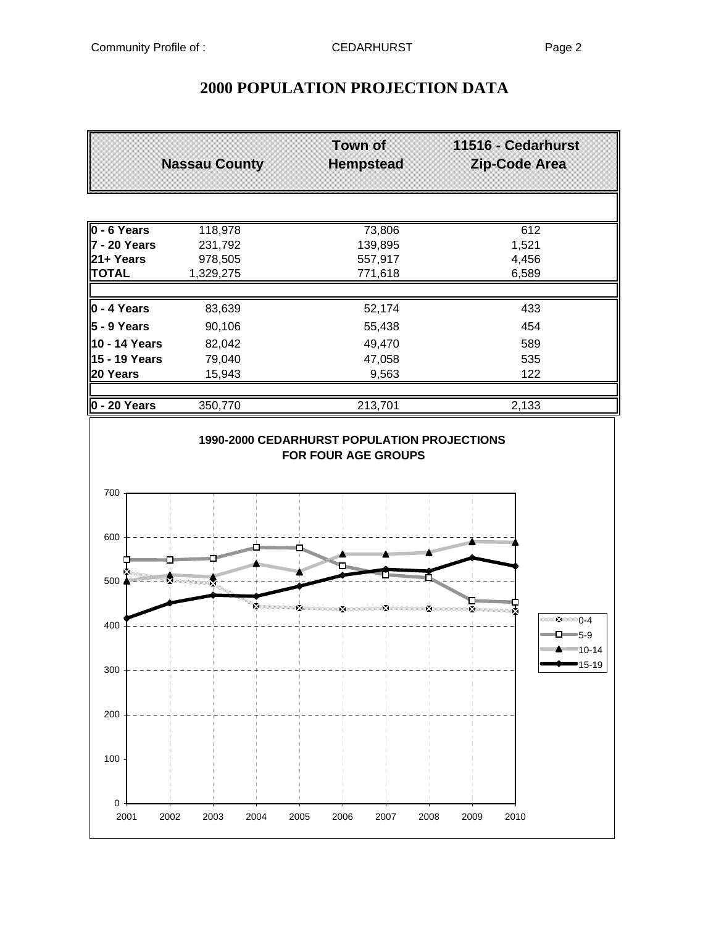## **2000 POPULATION PROJECTION DATA**

|                                   | <b>Nassau County</b> | Town of<br><b>Hempstead</b> | 11516 - Cedarhurst<br><b>Zip-Code Area</b>                      |
|-----------------------------------|----------------------|-----------------------------|-----------------------------------------------------------------|
|                                   |                      |                             |                                                                 |
| 0 - 6 Years                       | 118,978              | 73,806                      | 612                                                             |
| 7 - 20 Years                      | 231,792              | 139,895                     | 1,521                                                           |
| 21+ Years                         | 978,505              | 557,917                     | 4,456                                                           |
| <b>TOTAL</b>                      | 1,329,275            | 771,618                     | 6,589                                                           |
| 0 - 4 Years                       | 83,639               | 52,174                      | 433                                                             |
| $5 - 9$ Years                     | 90,106               | 55,438                      | 454                                                             |
| 10 - 14 Years                     | 82,042               | 49,470                      | 589                                                             |
| 15 - 19 Years                     | 79,040               | 47,058                      | 535                                                             |
| 20 Years                          | 15,943               | 9,563                       | 122                                                             |
| $0 - 20$ Years                    | 350,770              | 213,701                     | 2,133                                                           |
| 700<br>600                        |                      |                             |                                                                 |
|                                   |                      |                             | <b>SUBSTITUTION</b>                                             |
| <b>START OF THE ANNUAL</b><br>500 |                      |                             |                                                                 |
| 400                               |                      |                             | $2^{(1)}$ 0-4<br>$\Box$ 5-9<br>***** <del>*</del> ********10-14 |
| 300                               |                      |                             | 15-19                                                           |
| 200                               |                      |                             |                                                                 |
| 100                               |                      |                             |                                                                 |
| 0                                 |                      |                             |                                                                 |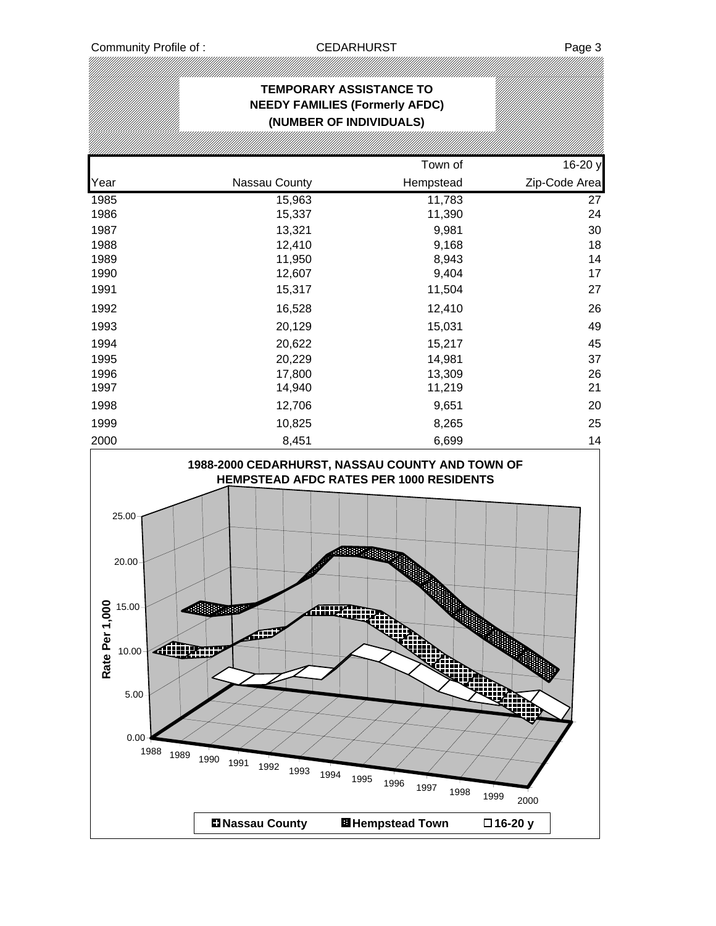$0.00 -$ 

5.00

|                                                                 | <b>TEMPORARY ASSISTANCE TO</b><br><b>NEEDY FAMILIES (Formerly AFDC)</b><br>(NUMBER OF INDIVIDUALS)          |                |               |
|-----------------------------------------------------------------|-------------------------------------------------------------------------------------------------------------|----------------|---------------|
|                                                                 |                                                                                                             |                |               |
|                                                                 |                                                                                                             | Town of        | 16-20 y       |
| Year                                                            | Nassau County                                                                                               | Hempstead      | Zip-Code Area |
| 1985                                                            | 15,963                                                                                                      | 11,783         | 27            |
| 1986                                                            | 15,337                                                                                                      | 11,390         | 24            |
| 1987                                                            | 13,321                                                                                                      | 9,981          | 30            |
| 1988                                                            | 12,410                                                                                                      | 9,168          | 18            |
| 1989<br>1990                                                    | 11,950<br>12,607                                                                                            | 8,943<br>9,404 | 14<br>17      |
| 1991                                                            | 15,317                                                                                                      | 11,504         | 27            |
| 1992                                                            | 16,528                                                                                                      | 12,410         | 26            |
| 1993                                                            | 20,129                                                                                                      | 15,031         | 49            |
| 1994                                                            | 20,622                                                                                                      | 15,217         | 45            |
| 1995                                                            | 20,229                                                                                                      | 14,981         | 37            |
| 1996                                                            | 17,800                                                                                                      | 13,309         | 26            |
| 1997                                                            | 14,940                                                                                                      | 11,219         | 21            |
| 1998                                                            | 12,706                                                                                                      | 9,651          | 20            |
| 1999                                                            | 10,825                                                                                                      | 8,265          | 25            |
| 2000                                                            | 8,451                                                                                                       | 6,699          | 14            |
| 25.00<br>20.00 <sub>1</sub><br>Rate Per 1,000<br>15.00<br>10.00 | 1988-2000 CEDARHURST, NASSAU COUNTY AND TOWN OF<br>HEMPSTEAD AFDC RATES PER 1000 RESIDENTS<br>rmm<br>805a00 |                |               |

1988 1989 1990 1991 1992 1993 1994 1995 1996 1997 1998 1999 2000

**Nassau County Hempstead Town 16-20 y**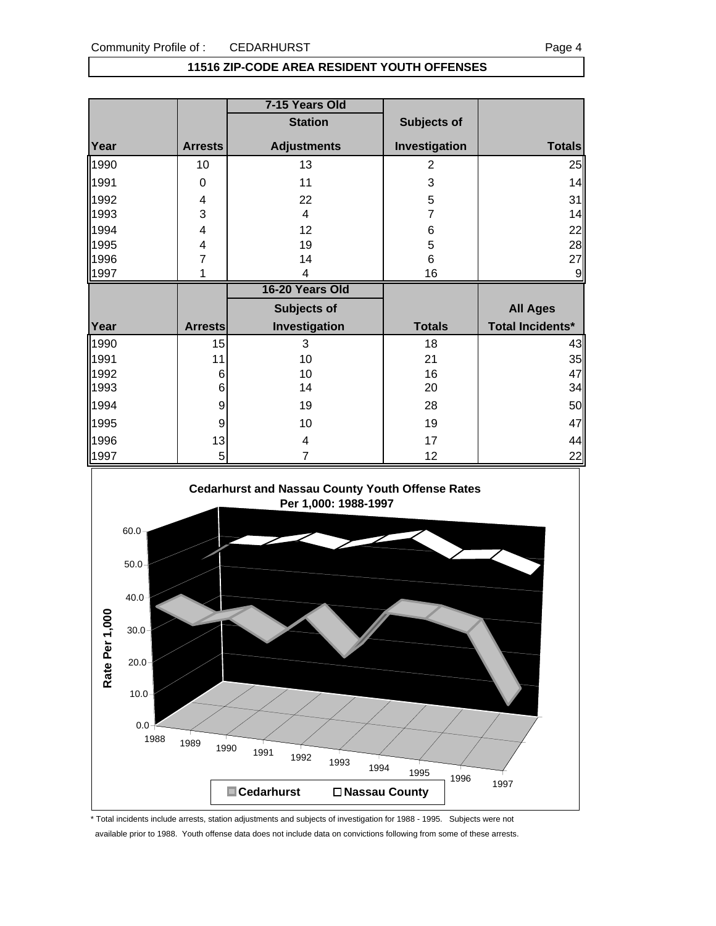#### **11516 ZIP-CODE AREA RESIDENT YOUTH OFFENSES**

|      |                | 7-15 Years Old     |                |                         |
|------|----------------|--------------------|----------------|-------------------------|
|      |                | <b>Station</b>     | Subjects of    |                         |
| Year | <b>Arrests</b> | <b>Adjustments</b> | Investigation  | <b>Totals</b>           |
| 1990 | 10             | 13                 | $\overline{2}$ | 25                      |
| 1991 | 0              | 11                 | 3              | 14                      |
| 1992 | 4              | 22                 | 5              | 31                      |
| 1993 | 3              | $\overline{4}$     | $\overline{7}$ | 14                      |
| 1994 | 4              | 12                 | 6              | 22                      |
| 1995 | 4              | 19                 | 5              | 28                      |
| 1996 | 7              | 14                 | 6              | 27                      |
| 1997 | 1              | 4                  | 16             | 9                       |
|      |                |                    |                |                         |
|      |                | 16-20 Years Old    |                |                         |
|      |                | Subjects of        |                | <b>All Ages</b>         |
| Year | <b>Arrests</b> | Investigation      | <b>Totals</b>  | <b>Total Incidents*</b> |
| 1990 | 15             | 3                  | 18             | 43                      |
| 1991 | 11             | 10                 | 21             | 35                      |
| 1992 | 6              | 10                 | 16             | 47                      |
| 1993 | 6              | 14                 | 20             | 34                      |
| 1994 | 9              | 19                 | 28             | 50                      |
| 1995 | 9              | 10                 | 19             |                         |
| 1996 | 13             | 4                  | 17             | 47<br>44                |



\* Total incidents include arrests, station adjustments and subjects of investigation for 1988 - 1995. Subjects were not available prior to 1988. Youth offense data does not include data on convictions following from some of these arrests.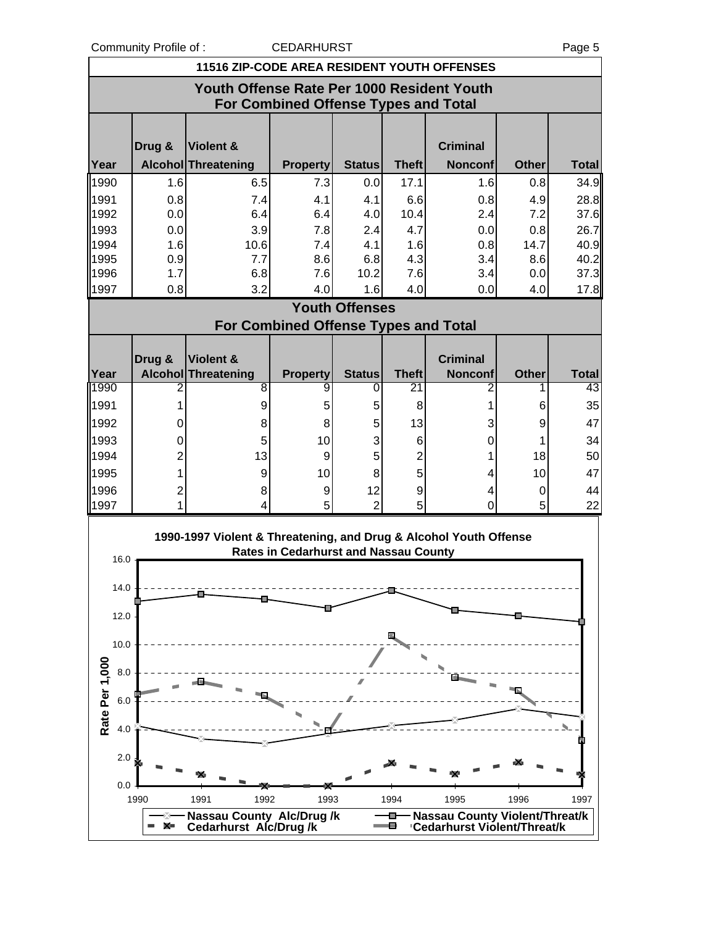Community Profile of : CEDARHURST COMMUNIC Page 5

|                       | <b>11516 ZIP-CODE AREA RESIDENT YOUTH OFFENSES</b> |                                                                   |                                              |                       |                |                                                                       |              |              |  |  |
|-----------------------|----------------------------------------------------|-------------------------------------------------------------------|----------------------------------------------|-----------------------|----------------|-----------------------------------------------------------------------|--------------|--------------|--|--|
|                       |                                                    | Youth Offense Rate Per 1000 Resident Youth                        | <b>For Combined Offense Types and Total</b>  |                       |                |                                                                       |              |              |  |  |
|                       |                                                    |                                                                   |                                              |                       |                |                                                                       |              |              |  |  |
|                       | Drug &                                             | Violent &                                                         |                                              |                       |                | <b>Criminal</b>                                                       |              |              |  |  |
| Year                  |                                                    | Alcohol Threatening                                               | <b>Property</b>                              | <b>Status</b>         | <b>Theft</b>   | <b>Nonconf</b>                                                        | <b>Other</b> | <b>Total</b> |  |  |
| 1990                  | 1.6                                                | 6.5                                                               | 7.3                                          | 0.0                   | 17.1           | 1.6                                                                   | 0.8          | 34.9         |  |  |
| 1991<br>1992          | 0.8<br>0.0                                         | 7.4<br>6.4                                                        | 4.1<br>6.4                                   | 4.1<br>4.0            | 6.6<br>10.4    | 0.8<br>2.4                                                            | 4.9<br>7.2   | 28.8<br>37.6 |  |  |
| 1993                  | 0.0                                                | 3.9                                                               | 7.8                                          | 2.4                   | 4.7            | 0.0                                                                   | 0.8          | 26.7         |  |  |
| 1994                  | 1.6                                                | 10.6                                                              | 7.4                                          | 4.1                   | 1.6            | 0.8                                                                   | 14.7         | 40.9         |  |  |
| 1995                  | 0.9                                                | 7.7                                                               | 8.6                                          | 6.8                   | 4.3            | 3.4                                                                   | 8.6          | 40.2         |  |  |
| 1996                  | 1.7                                                | 6.8                                                               | 7.6                                          | 10.2                  | 7.6            | 3.4                                                                   | 0.0          | 37.3         |  |  |
| 1997                  | 0.8                                                | 3.2                                                               | 4.0                                          | 1.6                   | 4.0            | 0.0                                                                   | 4.0          | 17.8         |  |  |
|                       |                                                    |                                                                   |                                              | <b>Youth Offenses</b> |                |                                                                       |              |              |  |  |
|                       |                                                    |                                                                   | <b>For Combined Offense Types and Total</b>  |                       |                |                                                                       |              |              |  |  |
|                       | Drug &                                             | <b>Violent &amp;</b>                                              |                                              |                       |                | <b>Criminal</b>                                                       |              |              |  |  |
| Year                  |                                                    | <b>Alcohol Threatening</b>                                        | <b>Property</b>                              | <b>Status</b>         | <b>Theft</b>   | <b>Nonconf</b>                                                        | <b>Other</b> | <b>Total</b> |  |  |
| 1990                  | 2                                                  | 8                                                                 | 9                                            | 0                     | 21             | 2                                                                     |              | 43           |  |  |
| 1991                  | 1                                                  | 9                                                                 | 5                                            | 5                     | 8              | 1                                                                     | 6            | 35           |  |  |
| 1992                  | 0                                                  | 8                                                                 | 8                                            | 5                     | 13             | 3                                                                     | 9            | 47           |  |  |
| 1993                  | 0                                                  | 5                                                                 | 10                                           | 3                     | 6              | 0                                                                     |              | 34           |  |  |
| 1994                  | 2                                                  | 13                                                                | 9                                            | 5                     | $\overline{2}$ | 1                                                                     | 18           | 50           |  |  |
| 1995                  | 1                                                  | 9                                                                 | 10                                           | 8                     | 5              | 4                                                                     | 10           | 47           |  |  |
| 1996                  | 2                                                  | 8                                                                 | 9                                            | 12                    | 9              | 4                                                                     | 0            | 44           |  |  |
| 1997                  | 1                                                  | 4                                                                 | 5                                            | $\overline{2}$        | 5              | $\overline{0}$                                                        | 5            | 22           |  |  |
|                       |                                                    | 1990-1997 Violent & Threatening, and Drug & Alcohol Youth Offense |                                              |                       |                |                                                                       |              |              |  |  |
|                       |                                                    |                                                                   | <b>Rates in Cedarhurst and Nassau County</b> |                       |                |                                                                       |              |              |  |  |
| 16.0                  |                                                    |                                                                   |                                              |                       |                |                                                                       |              |              |  |  |
| 14.0                  |                                                    |                                                                   |                                              |                       |                |                                                                       |              |              |  |  |
|                       |                                                    |                                                                   |                                              |                       |                |                                                                       |              |              |  |  |
| 12.0                  |                                                    |                                                                   |                                              |                       |                |                                                                       |              |              |  |  |
| 10.0                  |                                                    |                                                                   |                                              |                       |                |                                                                       |              |              |  |  |
|                       |                                                    |                                                                   |                                              |                       |                |                                                                       |              |              |  |  |
| 8.0                   |                                                    |                                                                   |                                              |                       |                |                                                                       |              |              |  |  |
|                       |                                                    |                                                                   |                                              |                       |                |                                                                       |              |              |  |  |
| 6.0                   |                                                    |                                                                   |                                              |                       |                |                                                                       |              |              |  |  |
| Rate Per 1,000<br>4.0 |                                                    |                                                                   |                                              |                       |                |                                                                       |              |              |  |  |
|                       |                                                    |                                                                   |                                              |                       |                |                                                                       |              |              |  |  |
| 2.0                   |                                                    |                                                                   |                                              |                       |                |                                                                       |              |              |  |  |
| 0.0                   |                                                    |                                                                   |                                              |                       |                |                                                                       |              |              |  |  |
|                       | 1990                                               | 1992<br>1991                                                      | 1993                                         |                       | 1994           | 1995                                                                  | 1996         | 1997         |  |  |
|                       | ✕▬                                                 | <b>Nassau County Alc/Drug/k</b><br><b>Cedarhurst Alc/Drug/k</b>   |                                              |                       | o<br>Θ         | <b>Nassau County Violent/Threat/k</b><br>'Cedarhurst Violent/Threat/k |              |              |  |  |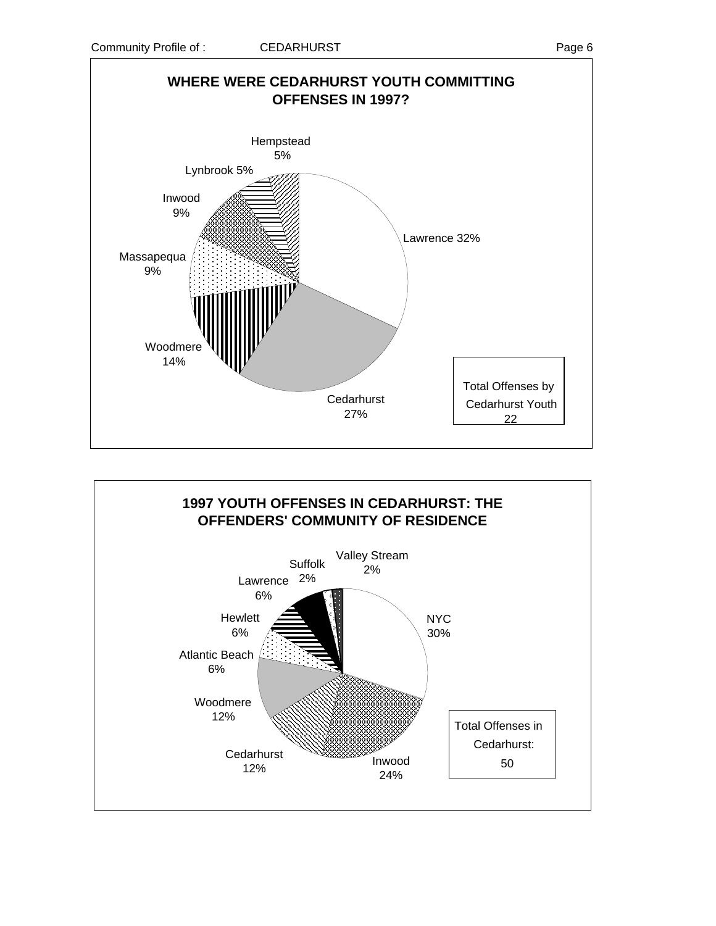

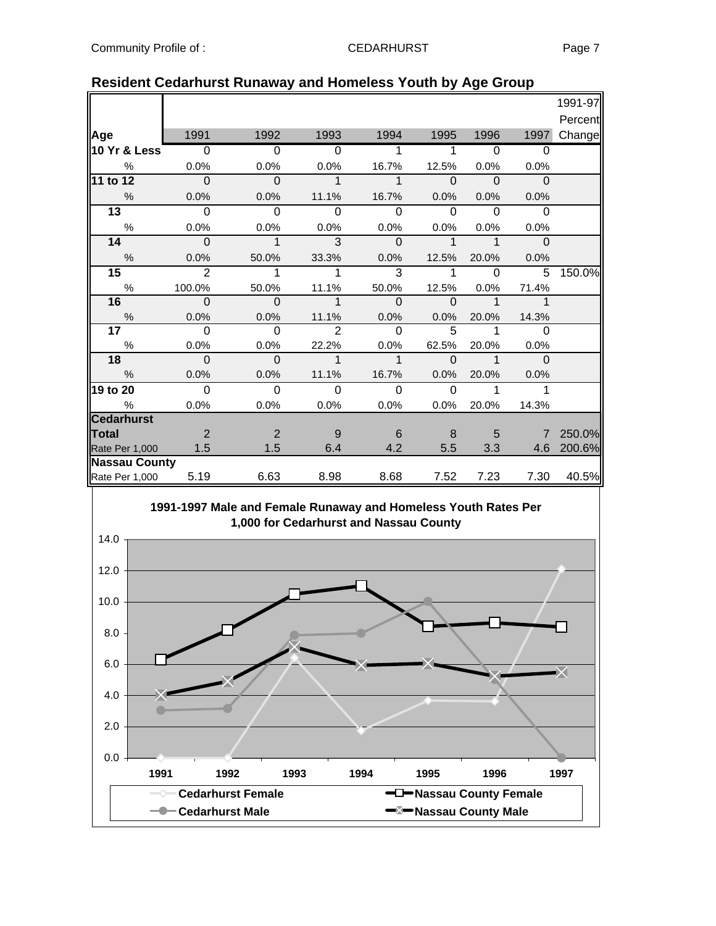|                      |                |                |                |             |             |              |                | 1991-97 |
|----------------------|----------------|----------------|----------------|-------------|-------------|--------------|----------------|---------|
|                      |                |                |                |             |             |              |                | Percent |
| Age                  | 1991           | 1992           | 1993           | 1994        | 1995        | 1996         | 1997           | Change  |
| 10 Yr & Less         | $\overline{0}$ | $\overline{0}$ | $\Omega$       |             | 1           | $\Omega$     | $\Omega$       |         |
| $\%$                 | 0.0%           | 0.0%           | 0.0%           | 16.7%       | 12.5%       | 0.0%         | 0.0%           |         |
| 11 to 12             | $\overline{0}$ | $\mathbf 0$    | $\mathbf{1}$   | $\mathbf 1$ | $\Omega$    | $\mathbf{0}$ | $\Omega$       |         |
| $\frac{0}{0}$        | 0.0%           | 0.0%           | 11.1%          | 16.7%       | 0.0%        | 0.0%         | 0.0%           |         |
| $\overline{13}$      | $\Omega$       | $\Omega$       | $\Omega$       | $\Omega$    | $\Omega$    | $\Omega$     | $\Omega$       |         |
| $\%$                 | 0.0%           | 0.0%           | 0.0%           | 0.0%        | 0.0%        | 0.0%         | 0.0%           |         |
| 14                   | $\mathbf 0$    | $\mathbf{1}$   | 3              | $\mathbf 0$ | $\mathbf 1$ | $\mathbf{1}$ | $\mathbf{0}$   |         |
| $\frac{0}{0}$        | 0.0%           | 50.0%          | 33.3%          | 0.0%        | 12.5%       | 20.0%        | 0.0%           |         |
| 15                   | $\overline{2}$ | 1              | 1              | 3           | 1           | $\Omega$     | 5              | 150.0%  |
| $\%$                 | 100.0%         | 50.0%          | 11.1%          | 50.0%       | 12.5%       | 0.0%         | 71.4%          |         |
| 16                   | - 0            | $\Omega$       | $\mathbf{1}$   | $\Omega$    | $\Omega$    | $\mathbf 1$  | 1              |         |
| $\%$                 | 0.0%           | 0.0%           | 11.1%          | 0.0%        | 0.0%        | 20.0%        | 14.3%          |         |
| 17                   | $\Omega$       | $\Omega$       | $\overline{2}$ | $\Omega$    | 5           | 1            | $\Omega$       |         |
| $\%$                 | 0.0%           | 0.0%           | 22.2%          | 0.0%        | 62.5%       | 20.0%        | 0.0%           |         |
| 18                   | $\Omega$       | $\Omega$       | $\mathbf{1}$   | $\mathbf 1$ | $\Omega$    | $\mathbf{1}$ | $\Omega$       |         |
| $\frac{0}{0}$        | 0.0%           | 0.0%           | 11.1%          | 16.7%       | 0.0%        | 20.0%        | 0.0%           |         |
| 19 to 20             | $\overline{0}$ | $\mathbf 0$    | $\Omega$       | $\Omega$    | $\Omega$    | 1            | 1              |         |
| $\frac{0}{0}$        | 0.0%           | 0.0%           | 0.0%           | 0.0%        | 0.0%        | 20.0%        | 14.3%          |         |
| <b>Cedarhurst</b>    |                |                |                |             |             |              |                |         |
| <b>Total</b>         | 2              | 2              | 9              | 6           | 8           | 5            | $\overline{7}$ | 250.0%  |
| Rate Per 1,000       | 1.5            | 1.5            | 6.4            | 4.2         | 5.5         | 3.3          | 4.6            | 200.6%  |
| <b>Nassau County</b> |                |                |                |             |             |              |                |         |
| Rate Per 1,000       | 5.19           | 6.63           | 8.98           | 8.68        | 7.52        | 7.23         | 7.30           | 40.5%   |

### **Resident Cedarhurst Runaway and Homeless Youth by Age Group**

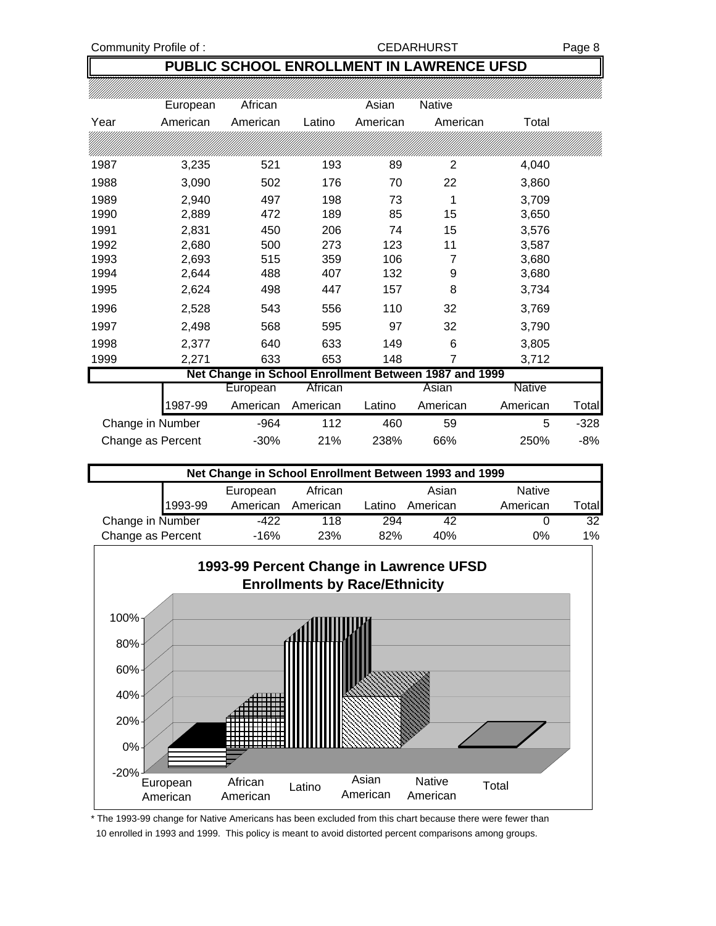#### Community Profile of : CEDARHURST Page 8

## **PUBLIC SCHOOL ENROLLMENT IN LAWRENCE UFSD**

|      | European | African  |          | Asian    | <b>Native</b>                                         |               |       |
|------|----------|----------|----------|----------|-------------------------------------------------------|---------------|-------|
| Year | American | American | Latino   | American | American                                              | Total         |       |
|      |          |          |          |          |                                                       |               |       |
| 1987 | 3,235    | 521      | 193      | 89       | 2                                                     | 4,040         |       |
| 1988 | 3,090    | 502      | 176      | 70       | 22                                                    | 3,860         |       |
| 1989 | 2,940    | 497      | 198      | 73       | 1                                                     | 3,709         |       |
| 1990 | 2,889    | 472      | 189      | 85       | 15                                                    | 3,650         |       |
| 1991 | 2,831    | 450      | 206      | 74       | 15                                                    | 3,576         |       |
| 1992 | 2,680    | 500      | 273      | 123      | 11                                                    | 3,587         |       |
| 1993 | 2,693    | 515      | 359      | 106      | 7                                                     | 3,680         |       |
| 1994 | 2,644    | 488      | 407      | 132      | 9                                                     | 3,680         |       |
| 1995 | 2,624    | 498      | 447      | 157      | 8                                                     | 3,734         |       |
| 1996 | 2,528    | 543      | 556      | 110      | 32                                                    | 3,769         |       |
| 1997 | 2,498    | 568      | 595      | 97       | 32                                                    | 3,790         |       |
| 1998 | 2,377    | 640      | 633      | 149      | 6                                                     | 3,805         |       |
| 1999 | 2,271    | 633      | 653      | 148      | 7                                                     | 3,712         |       |
|      |          |          |          |          | Net Change in School Enrollment Between 1987 and 1999 |               |       |
|      |          | European | African  |          | Asian                                                 | <b>Native</b> |       |
|      | 987-99   | American | American | Latino   | American                                              | American      | Total |

|                   | . |        |     | ------- | .   | .    | .      |
|-------------------|---|--------|-----|---------|-----|------|--------|
| Change in Number  |   | -964   |     | 460     | 59  |      | $-328$ |
| Change as Percent |   | $-30%$ | 21% | 238%    | 66% | 250% | -8%    |

| Net Change in School Enrollment Between 1993 and 1999 |          |          |        |          |               |              |  |  |  |
|-------------------------------------------------------|----------|----------|--------|----------|---------------|--------------|--|--|--|
|                                                       | European | African  |        | Asian    | <b>Native</b> |              |  |  |  |
| 1993-99                                               | American | American | Latino | American | American      | <b>Total</b> |  |  |  |
| Change in Number                                      | -422     | 118      | 294    | 42       |               | 32           |  |  |  |
| Change as Percent                                     | $-16%$   | 23%      | 82%    | 40%      | 0%            | 1%           |  |  |  |



\* The 1993-99 change for Native Americans has been excluded from this chart because there were fewer than 10 enrolled in 1993 and 1999. This policy is meant to avoid distorted percent comparisons among groups.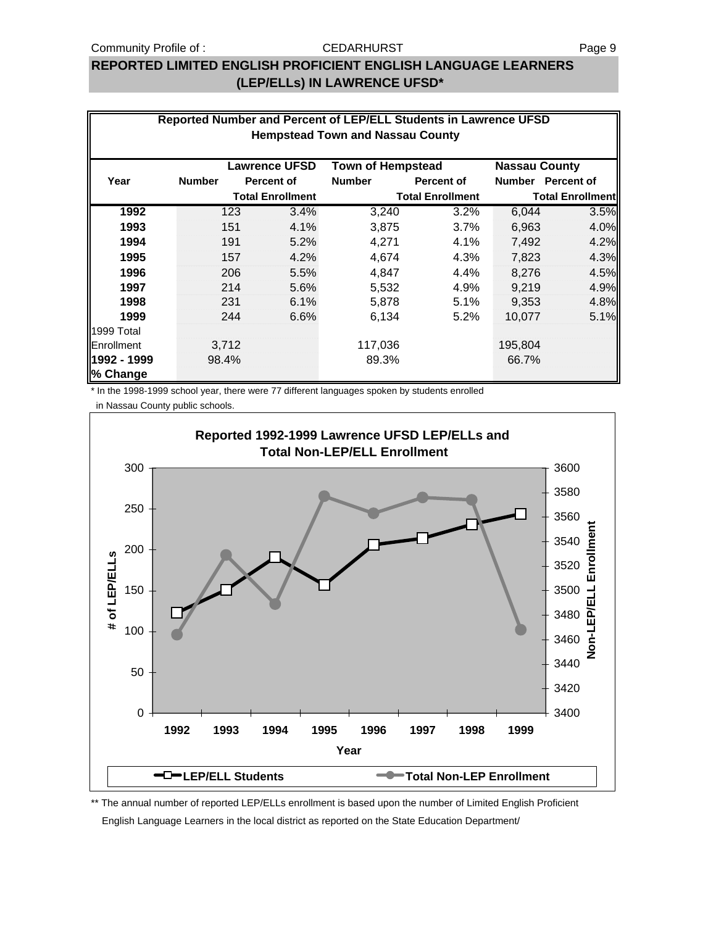## **REPORTED LIMITED ENGLISH PROFICIENT ENGLISH LANGUAGE LEARNERS (LEP/ELLs) IN LAWRENCE UFSD\***

|             |                                                                          |     |                         | Reported Number and Percent of LEP/ELL Students in Lawrence UFSD<br><b>Hempstead Town and Nassau County</b> |                         |               |                         |  |  |  |
|-------------|--------------------------------------------------------------------------|-----|-------------------------|-------------------------------------------------------------------------------------------------------------|-------------------------|---------------|-------------------------|--|--|--|
|             | <b>Lawrence UFSD</b><br><b>Town of Hempstead</b><br><b>Nassau County</b> |     |                         |                                                                                                             |                         |               |                         |  |  |  |
| Year        | <b>Number</b>                                                            |     | <b>Percent of</b>       | <b>Number</b>                                                                                               | Percent of              | <b>Number</b> | <b>Percent of</b>       |  |  |  |
|             |                                                                          |     | <b>Total Enrollment</b> |                                                                                                             | <b>Total Enrollment</b> |               | <b>Total Enrollment</b> |  |  |  |
| 1992        |                                                                          | 123 | 3.4%                    | 3,240                                                                                                       | 3.2%                    | 6,044         | 3.5%                    |  |  |  |
| 1993        |                                                                          | 151 | 4.1%                    | 3,875                                                                                                       | 3.7%                    | 6,963         | 4.0%                    |  |  |  |
| 1994        |                                                                          | 191 | 5.2%                    | 4,271                                                                                                       | 4.1%                    | 7,492         | 4.2%                    |  |  |  |
| 1995        |                                                                          | 157 | 4.2%                    | 4,674                                                                                                       | 4.3%                    | 7,823         | 4.3%                    |  |  |  |
| 1996        |                                                                          | 206 | 5.5%                    | 4,847                                                                                                       | $4.4\%$                 | 8.276         | 4.5%                    |  |  |  |
| 1997        |                                                                          | 214 | 5.6%                    | 5,532                                                                                                       | 4.9%                    | 9,219         | 4.9%                    |  |  |  |
| 1998        |                                                                          | 231 | 6.1%                    | 5,878                                                                                                       | 5.1%                    | 9,353         | 4.8%                    |  |  |  |
| 1999        |                                                                          | 244 | 6.6%                    | 6,134                                                                                                       | 5.2%                    | 10,077        | 5.1%                    |  |  |  |
| 1999 Total  |                                                                          |     |                         |                                                                                                             |                         |               |                         |  |  |  |
| Enrollment  | 3,712                                                                    |     |                         | 117,036                                                                                                     |                         | 195,804       |                         |  |  |  |
| 1992 - 1999 | 98.4%                                                                    |     |                         | 89.3%                                                                                                       |                         | 66.7%         |                         |  |  |  |
| % Change    |                                                                          |     |                         |                                                                                                             |                         |               |                         |  |  |  |

\* In the 1998-1999 school year, there were 77 different languages spoken by students enrolled

in Nassau County public schools.



\*\* The annual number of reported LEP/ELLs enrollment is based upon the number of Limited English Proficient English Language Learners in the local district as reported on the State Education Department/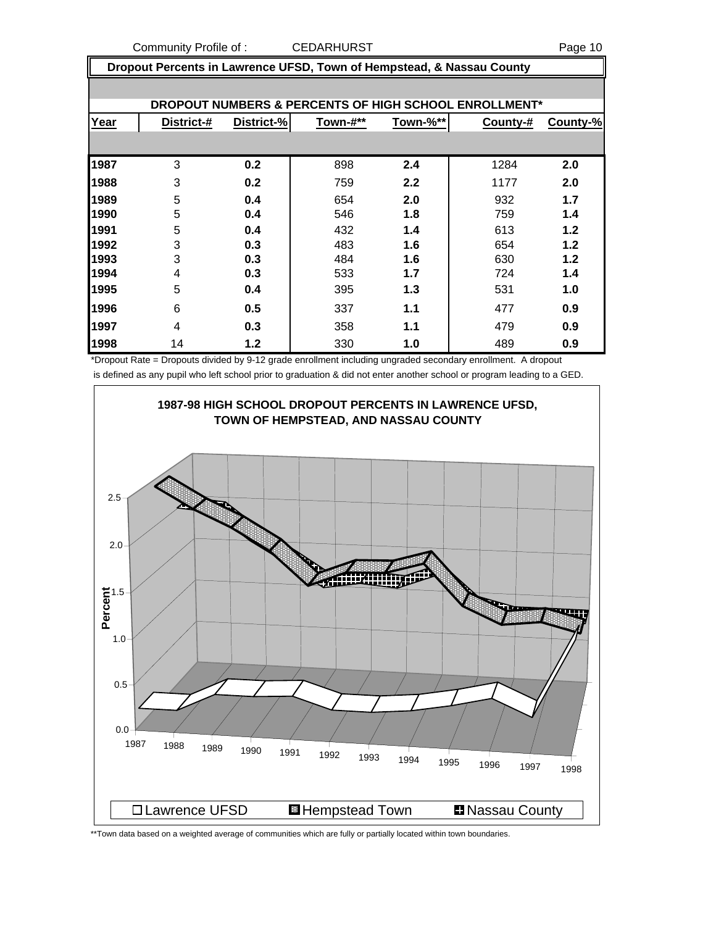Community Profile of : CEDARHURST COMMUNIC Page 10

 **Dropout Percents in Lawrence UFSD, Town of Hempstead, & Nassau County**

|      | <b>DROPOUT NUMBERS &amp; PERCENTS OF HIGH SCHOOL ENROLLMENT*</b> |            |          |          |          |          |  |  |  |  |  |
|------|------------------------------------------------------------------|------------|----------|----------|----------|----------|--|--|--|--|--|
| Year | District-#                                                       | District-% | Town-#** | Town-%** | County-# | County-% |  |  |  |  |  |
|      |                                                                  |            |          |          |          |          |  |  |  |  |  |
| 1987 | 3                                                                | 0.2        | 898      | 2.4      | 1284     | 2.0      |  |  |  |  |  |
| 1988 | 3                                                                | 0.2        | 759      | 2.2      | 1177     | 2.0      |  |  |  |  |  |
| 1989 | 5                                                                | 0.4        | 654      | 2.0      | 932      | 1.7      |  |  |  |  |  |
| 1990 | 5                                                                | 0.4        | 546      | 1.8      | 759      | 1.4      |  |  |  |  |  |
| 1991 | 5                                                                | 0.4        | 432      | 1.4      | 613      | 1.2      |  |  |  |  |  |
| 1992 | 3                                                                | 0.3        | 483      | 1.6      | 654      | 1.2      |  |  |  |  |  |
| 1993 | 3                                                                | 0.3        | 484      | 1.6      | 630      | 1.2      |  |  |  |  |  |
| 1994 | 4                                                                | 0.3        | 533      | 1.7      | 724      | 1.4      |  |  |  |  |  |
| 1995 | 5                                                                | 0.4        | 395      | 1.3      | 531      | 1.0      |  |  |  |  |  |
| 1996 | 6                                                                | 0.5        | 337      | 1.1      | 477      | 0.9      |  |  |  |  |  |
| 1997 | 4                                                                | 0.3        | 358      | 1.1      | 479      | 0.9      |  |  |  |  |  |
| 1998 | 14                                                               | 1.2        | 330      | 1.0      | 489      | 0.9      |  |  |  |  |  |

\*Dropout Rate = Dropouts divided by 9-12 grade enrollment including ungraded secondary enrollment. A dropout is defined as any pupil who left school prior to graduation & did not enter another school or program leading to a GED.



\*\*Town data based on a weighted average of communities which are fully or partially located within town boundaries.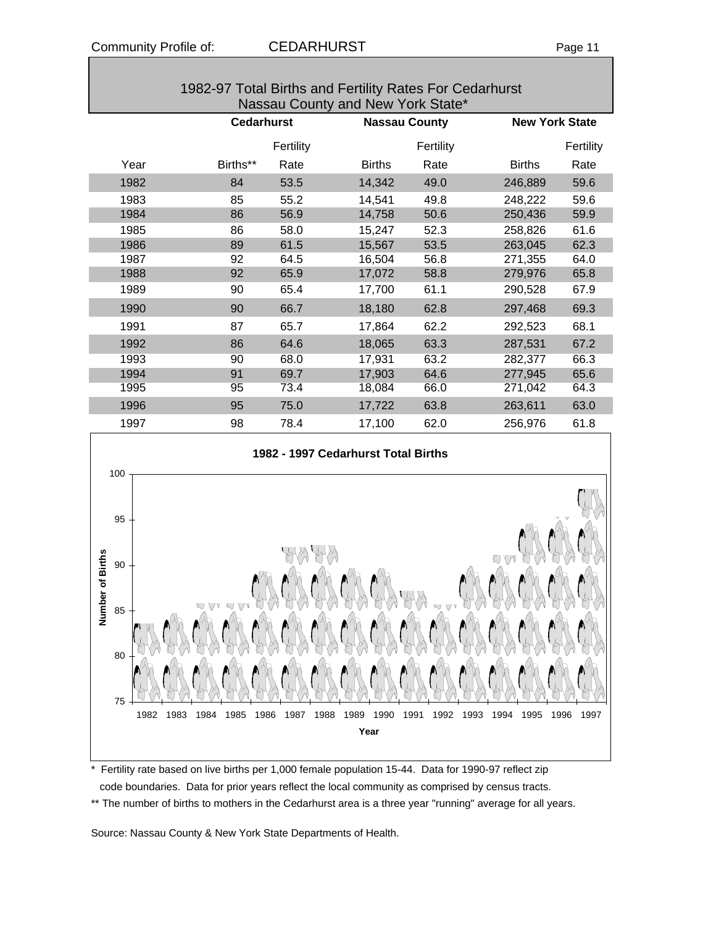| 1982-97 Total Births and Fertility Rates For Cedarhurst<br>Nassau County and New York State* |          |                   |               |                      |               |                       |  |  |  |  |  |
|----------------------------------------------------------------------------------------------|----------|-------------------|---------------|----------------------|---------------|-----------------------|--|--|--|--|--|
|                                                                                              |          | <b>Cedarhurst</b> |               | <b>Nassau County</b> |               | <b>New York State</b> |  |  |  |  |  |
|                                                                                              |          | Fertility         |               | Fertility            |               | Fertility             |  |  |  |  |  |
| Year                                                                                         | Births** | Rate              | <b>Births</b> | Rate                 | <b>Births</b> | Rate                  |  |  |  |  |  |
| 1982                                                                                         | 84       | 53.5              | 14,342        | 49.0                 | 246,889       | 59.6                  |  |  |  |  |  |
| 1983                                                                                         | 85       | 55.2              | 14,541        | 49.8                 | 248,222       | 59.6                  |  |  |  |  |  |
| 1984                                                                                         | 86       | 56.9              | 14,758        | 50.6                 | 250,436       | 59.9                  |  |  |  |  |  |
| 1985                                                                                         | 86       | 58.0              | 15,247        | 52.3                 | 258,826       | 61.6                  |  |  |  |  |  |
| 1986                                                                                         | 89       | 61.5              | 15,567        | 53.5                 | 263,045       | 62.3                  |  |  |  |  |  |
| 1987                                                                                         | 92       | 64.5              | 16,504        | 56.8                 | 271,355       | 64.0                  |  |  |  |  |  |



1988 92 65.9 17,072 58.8 279,976 65.8 1989 90 65.4 17,700 61.1 290,528 67.9 1990 90 66.7 18,180 62.8 297,468 69.3 1991 87 65.7 17,864 62.2 292,523 68.1 1992 86 64.6 18,065 63.3 287,531 67.2 1993 90 68.0 17,931 63.2 282,377 66.3 1994 91 69.7 17,903 64.6 277,945 65.6 1995 95 73.4 18,084 66.0 271,042 64.3 1996 95 75.0 17,722 63.8 263,611 63.0



\* Fertility rate based on live births per 1,000 female population 15-44. Data for 1990-97 reflect zip code boundaries. Data for prior years reflect the local community as comprised by census tracts.

\*\* The number of births to mothers in the Cedarhurst area is a three year "running" average for all years.

Source: Nassau County & New York State Departments of Health.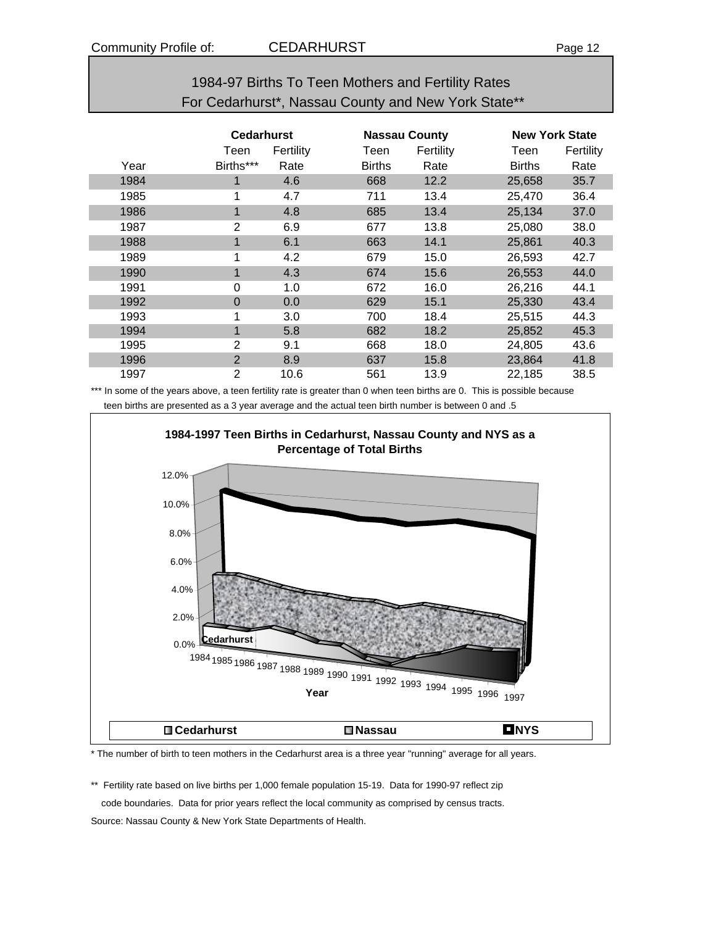| 1984-97 Births To Teen Mothers and Fertility Rates  |  |
|-----------------------------------------------------|--|
| For Cedarhurst*, Nassau County and New York State** |  |

|      | <b>Cedarhurst</b> |           |               | <b>Nassau County</b> |               | <b>New York State</b> |  |
|------|-------------------|-----------|---------------|----------------------|---------------|-----------------------|--|
|      | Teen              | Fertility | Teen          | Fertility            | Teen          | Fertility             |  |
| Year | Births***         | Rate      | <b>Births</b> | Rate                 | <b>Births</b> | Rate                  |  |
| 1984 | 1                 | 4.6       | 668           | 12.2                 | 25,658        | 35.7                  |  |
| 1985 | 4                 | 4.7       | 711           | 13.4                 | 25,470        | 36.4                  |  |
| 1986 | 1                 | 4.8       | 685           | 13.4                 | 25,134        | 37.0                  |  |
| 1987 | $\overline{2}$    | 6.9       | 677           | 13.8                 | 25,080        | 38.0                  |  |
| 1988 | 1                 | 6.1       | 663           | 14.1                 | 25,861        | 40.3                  |  |
| 1989 | 1                 | 4.2       | 679           | 15.0                 | 26,593        | 42.7                  |  |
| 1990 | 1                 | 4.3       | 674           | 15.6                 | 26,553        | 44.0                  |  |
| 1991 | 0                 | 1.0       | 672           | 16.0                 | 26,216        | 44.1                  |  |
| 1992 | 0                 | 0.0       | 629           | 15.1                 | 25,330        | 43.4                  |  |
| 1993 |                   | 3.0       | 700           | 18.4                 | 25,515        | 44.3                  |  |
| 1994 | 1                 | 5.8       | 682           | 18.2                 | 25,852        | 45.3                  |  |
| 1995 | 2                 | 9.1       | 668           | 18.0                 | 24,805        | 43.6                  |  |
| 1996 | $\overline{2}$    | 8.9       | 637           | 15.8                 | 23,864        | 41.8                  |  |
| 1997 | 2                 | 10.6      | 561           | 13.9                 | 22,185        | 38.5                  |  |

\*\*\* In some of the years above, a teen fertility rate is greater than 0 when teen births are 0. This is possible because teen births are presented as a 3 year average and the actual teen birth number is between 0 and .5



\* The number of birth to teen mothers in the Cedarhurst area is a three year "running" average for all years.

\*\* Fertility rate based on live births per 1,000 female population 15-19. Data for 1990-97 reflect zip code boundaries. Data for prior years reflect the local community as comprised by census tracts. Source: Nassau County & New York State Departments of Health.